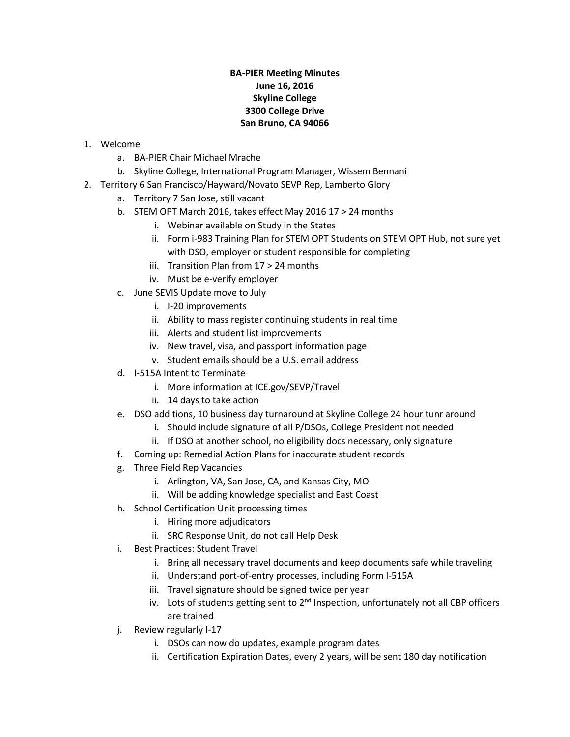## **BA-PIER Meeting Minutes June 16, 2016 Skyline College 3300 College Drive San Bruno, CA 94066**

- 1. Welcome
	- a. BA-PIER Chair Michael Mrache
	- b. Skyline College, International Program Manager, Wissem Bennani
- 2. Territory 6 San Francisco/Hayward/Novato SEVP Rep, Lamberto Glory
	- a. Territory 7 San Jose, still vacant
	- b. STEM OPT March 2016, takes effect May 2016 17 > 24 months
		- i. Webinar available on Study in the States
		- ii. Form i-983 Training Plan for STEM OPT Students on STEM OPT Hub, not sure yet with DSO, employer or student responsible for completing
		- iii. Transition Plan from 17 > 24 months
		- iv. Must be e-verify employer
	- c. June SEVIS Update move to July
		- i. I-20 improvements
		- ii. Ability to mass register continuing students in real time
		- iii. Alerts and student list improvements
		- iv. New travel, visa, and passport information page
		- v. Student emails should be a U.S. email address
	- d. I-515A Intent to Terminate
		- i. More information at ICE.gov/SEVP/Travel
		- ii. 14 days to take action
	- e. DSO additions, 10 business day turnaround at Skyline College 24 hour tunr around
		- i. Should include signature of all P/DSOs, College President not needed
		- ii. If DSO at another school, no eligibility docs necessary, only signature
	- f. Coming up: Remedial Action Plans for inaccurate student records
	- g. Three Field Rep Vacancies
		- i. Arlington, VA, San Jose, CA, and Kansas City, MO
		- ii. Will be adding knowledge specialist and East Coast
	- h. School Certification Unit processing times
		- i. Hiring more adjudicators
		- ii. SRC Response Unit, do not call Help Desk
	- i. Best Practices: Student Travel
		- i. Bring all necessary travel documents and keep documents safe while traveling
		- ii. Understand port-of-entry processes, including Form I-515A
		- iii. Travel signature should be signed twice per year
		- iv. Lots of students getting sent to  $2^{nd}$  Inspection, unfortunately not all CBP officers are trained
	- j. Review regularly I-17
		- i. DSOs can now do updates, example program dates
		- ii. Certification Expiration Dates, every 2 years, will be sent 180 day notification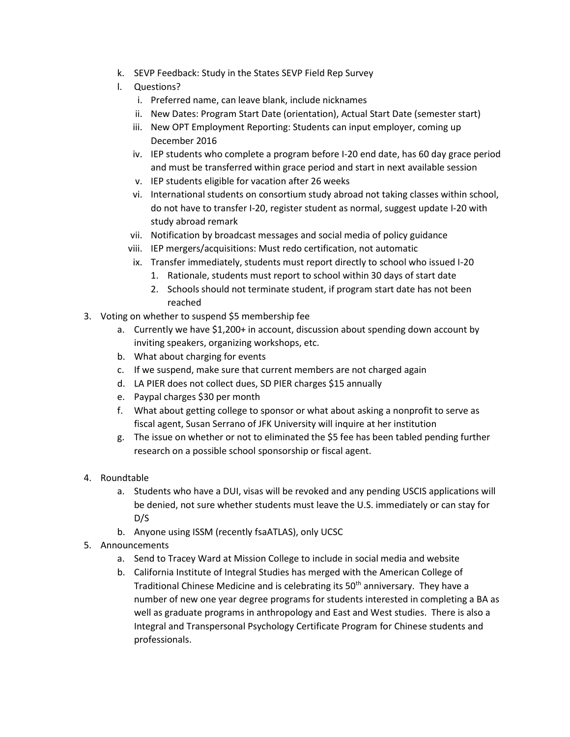- k. SEVP Feedback: Study in the States SEVP Field Rep Survey
- l. Questions?
	- i. Preferred name, can leave blank, include nicknames
	- ii. New Dates: Program Start Date (orientation), Actual Start Date (semester start)
	- iii. New OPT Employment Reporting: Students can input employer, coming up December 2016
	- iv. IEP students who complete a program before I-20 end date, has 60 day grace period and must be transferred within grace period and start in next available session
	- v. IEP students eligible for vacation after 26 weeks
	- vi. International students on consortium study abroad not taking classes within school, do not have to transfer I-20, register student as normal, suggest update I-20 with study abroad remark
	- vii. Notification by broadcast messages and social media of policy guidance
	- viii. IEP mergers/acquisitions: Must redo certification, not automatic
	- ix. Transfer immediately, students must report directly to school who issued I-20
		- 1. Rationale, students must report to school within 30 days of start date
		- 2. Schools should not terminate student, if program start date has not been reached
- 3. Voting on whether to suspend \$5 membership fee
	- a. Currently we have \$1,200+ in account, discussion about spending down account by inviting speakers, organizing workshops, etc.
	- b. What about charging for events
	- c. If we suspend, make sure that current members are not charged again
	- d. LA PIER does not collect dues, SD PIER charges \$15 annually
	- e. Paypal charges \$30 per month
	- f. What about getting college to sponsor or what about asking a nonprofit to serve as fiscal agent, Susan Serrano of JFK University will inquire at her institution
	- g. The issue on whether or not to eliminated the \$5 fee has been tabled pending further research on a possible school sponsorship or fiscal agent.
- 4. Roundtable
	- a. Students who have a DUI, visas will be revoked and any pending USCIS applications will be denied, not sure whether students must leave the U.S. immediately or can stay for D/S
	- b. Anyone using ISSM (recently fsaATLAS), only UCSC
- 5. Announcements
	- a. Send to Tracey Ward at Mission College to include in social media and website
	- b. California Institute of Integral Studies has merged with the American College of Traditional Chinese Medicine and is celebrating its 50<sup>th</sup> anniversary. They have a number of new one year degree programs for students interested in completing a BA as well as graduate programs in anthropology and East and West studies. There is also a Integral and Transpersonal Psychology Certificate Program for Chinese students and professionals.